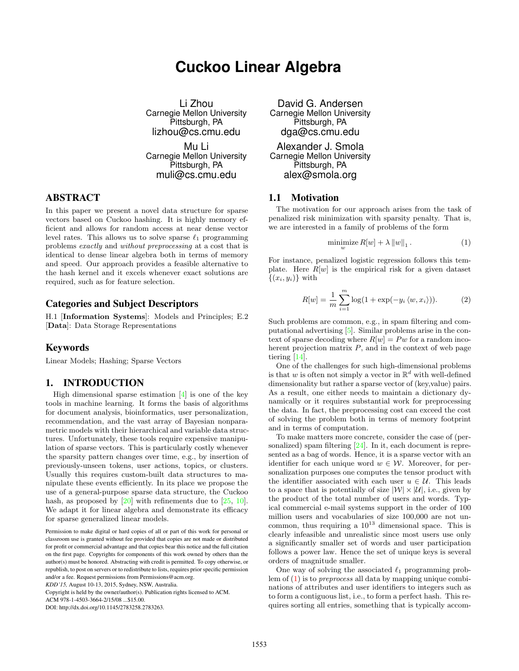# **Cuckoo Linear Algebra**

Li Zhou Carnegie Mellon University Pittsburgh, PA lizhou@cs.cmu.edu Mu Li Carnegie Mellon University

Pittsburgh, PA muli@cs.cmu.edu

# ABSTRACT

In this paper we present a novel data structure for sparse vectors based on Cuckoo hashing. It is highly memory efficient and allows for random access at near dense vector level rates. This allows us to solve sparse  $\ell_1$  programming problems exactly and without preprocessing at a cost that is identical to dense linear algebra both in terms of memory and speed. Our approach provides a feasible alternative to the hash kernel and it excels whenever exact solutions are required, such as for feature selection.

## Categories and Subject Descriptors

H.1 [Information Systems]: Models and Principles; E.2 [Data]: Data Storage Representations

## Keywords

Linear Models; Hashing; Sparse Vectors

# 1. INTRODUCTION

High dimensional sparse estimation  $[4]$  is one of the key tools in machine learning. It forms the basis of algorithms for document analysis, bioinformatics, user personalization, recommendation, and the vast array of Bayesian nonparametric models with their hierarchical and variable data structures. Unfortunately, these tools require expensive manipulation of sparse vectors. This is particularly costly whenever the sparsity pattern changes over time, e.g., by insertion of previously-unseen tokens, user actions, topics, or clusters. Usually this requires custom-built data structures to manipulate these events efficiently. In its place we propose the use of a general-purpose sparse data structure, the Cuckoo hash, as proposed by [\[20\]](#page-9-1) with refinements due to [\[25,](#page-9-2) [10\]](#page-9-3). We adapt it for linear algebra and demonstrate its efficacy for sparse generalized linear models.

David G. Andersen Carnegie Mellon University Pittsburgh, PA dga@cs.cmu.edu

Alexander J. Smola Carnegie Mellon University Pittsburgh, PA alex@smola.org

#### <span id="page-0-2"></span>1.1 Motivation

The motivation for our approach arises from the task of penalized risk minimization with sparsity penalty. That is, we are interested in a family of problems of the form

<span id="page-0-1"></span><span id="page-0-0"></span>
$$
\underset{w}{\text{minimize}} R[w] + \lambda \|w\|_1. \tag{1}
$$

For instance, penalized logistic regression follows this template. Here  $R[w]$  is the empirical risk for a given dataset  $\{(x_i, y_i)\}\$ with

$$
R[w] = \frac{1}{m} \sum_{i=1}^{m} \log(1 + \exp(-y_i \langle w, x_i \rangle)).
$$
 (2)

Such problems are common, e.g., in spam filtering and computational advertising [\[5\]](#page-9-4). Similar problems arise in the context of sparse decoding where  $R[w] = Pw$  for a random incoherent projection matrix  $P$ , and in the context of web page tiering [\[14\]](#page-9-5).

One of the challenges for such high-dimensional problems is that w is often not simply a vector in  $\mathbb{R}^d$  with well-defined dimensionality but rather a sparse vector of (key,value) pairs. As a result, one either needs to maintain a dictionary dynamically or it requires substantial work for preprocessing the data. In fact, the preprocessing cost can exceed the cost of solving the problem both in terms of memory footprint and in terms of computation.

To make matters more concrete, consider the case of (per-sonalized) spam filtering [\[24\]](#page-9-6). In it, each document is represented as a bag of words. Hence, it is a sparse vector with an identifier for each unique word  $w \in \mathcal{W}$ . Moreover, for personalization purposes one computes the tensor product with the identifier associated with each user  $u \in \mathcal{U}$ . This leads to a space that is potentially of size  $|\mathcal{W}| \times |\mathcal{U}|$ , i.e., given by the product of the total number of users and words. Typical commercial e-mail systems support in the order of 100 million users and vocabularies of size 100,000 are not uncommon, thus requiring a  $10^{13}$  dimensional space. This is clearly infeasible and unrealistic since most users use only a significantly smaller set of words and user participation follows a power law. Hence the set of unique keys is several orders of magnitude smaller.

One way of solving the associated  $\ell_1$  programming problem of [\(1\)](#page-0-0) is to preprocess all data by mapping unique combinations of attributes and user identifiers to integers such as to form a contiguous list, i.e., to form a perfect hash. This requires sorting all entries, something that is typically accom-

Permission to make digital or hard copies of all or part of this work for personal or classroom use is granted without fee provided that copies are not made or distributed for profit or commercial advantage and that copies bear this notice and the full citation on the first page. Copyrights for components of this work owned by others than the author(s) must be honored. Abstracting with credit is permitted. To copy otherwise, or republish, to post on servers or to redistribute to lists, requires prior specific permission and/or a fee. Request permissions from Permissions@acm.org. *KDD'15,* August 10-13, 2015, Sydney, NSW, Australia.

Copyright is held by the owner/author(s). Publication rights licensed to ACM.

ACM 978-1-4503-3664-2/15/08 ...\$15.00.

DOI: http://dx.doi.org/10.1145/2783258.2783263.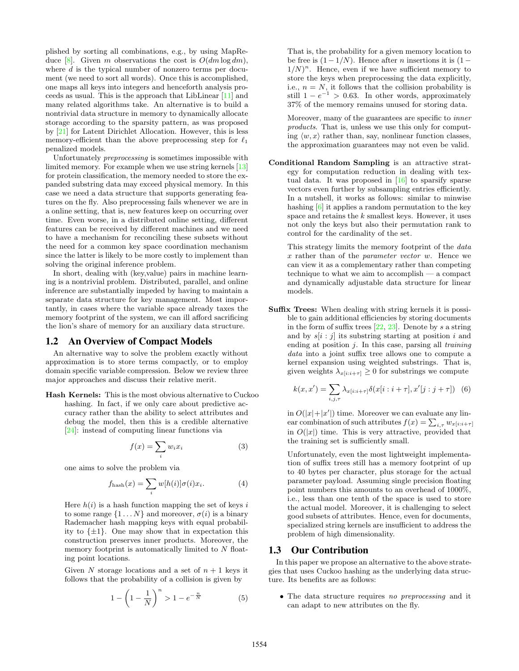plished by sorting all combinations, e.g., by using MapRe-duce [\[8\]](#page-9-7). Given m observations the cost is  $O(dm \log dm)$ , where  $d$  is the typical number of nonzero terms per document (we need to sort all words). Once this is accomplished, one maps all keys into integers and henceforth analysis proceeds as usual. This is the approach that LibLinear [\[11\]](#page-9-8) and many related algorithms take. An alternative is to build a nontrivial data structure in memory to dynamically allocate storage according to the sparsity pattern, as was proposed by [\[21\]](#page-9-9) for Latent Dirichlet Allocation. However, this is less memory-efficient than the above preprocessing step for  $\ell_1$ penalized models.

Unfortunately preprocessing is sometimes impossible with limited memory. For example when we use string kernels [\[13\]](#page-9-10) for protein classification, the memory needed to store the expanded substring data may exceed physical memory. In this case we need a data structure that supports generating features on the fly. Also preprocessing fails whenever we are in a online setting, that is, new features keep on occurring over time. Even worse, in a distributed online setting, different features can be received by different machines and we need to have a mechanism for reconciling these subsets without the need for a common key space coordination mechanism since the latter is likely to be more costly to implement than solving the original inference problem.

In short, dealing with (key,value) pairs in machine learning is a nontrivial problem. Distributed, parallel, and online inference are substantially impeded by having to maintain a separate data structure for key management. Most importantly, in cases where the variable space already taxes the memory footprint of the system, we can ill afford sacrificing the lion's share of memory for an auxiliary data structure.

#### 1.2 An Overview of Compact Models

An alternative way to solve the problem exactly without approximation is to store terms compactly, or to employ domain specific variable compression. Below we review three major approaches and discuss their relative merit.

Hash Kernels: This is the most obvious alternative to Cuckoo hashing. In fact, if we only care about predictive accuracy rather than the ability to select attributes and debug the model, then this is a credible alternative [\[24\]](#page-9-6): instead of computing linear functions via

$$
f(x) = \sum_{i} w_i x_i \tag{3}
$$

one aims to solve the problem via

$$
f_{\text{hash}}(x) = \sum_{i} w[h(i)]\sigma(i)x_i.
$$
 (4)

Here  $h(i)$  is a hash function mapping the set of keys i to some range  $\{1 \dots N\}$  and moreover,  $\sigma(i)$  is a binary Rademacher hash mapping keys with equal probability to  $\{\pm 1\}$ . One may show that in expectation this construction preserves inner products. Moreover, the memory footprint is automatically limited to N floating point locations.

Given N storage locations and a set of  $n + 1$  keys it follows that the probability of a collision is given by

$$
1 - \left(1 - \frac{1}{N}\right)^n > 1 - e^{-\frac{n}{N}} \tag{5}
$$

That is, the probability for a given memory location to be free is  $(1 - 1/N)$ . Hence after *n* insertions it is  $(1 1/N$ <sup>n</sup>. Hence, even if we have sufficient memory to store the keys when preprocessing the data explicitly, i.e.,  $n = N$ , it follows that the collision probability is still  $1 - e^{-1} > 0.63$ . In other words, approximately 37% of the memory remains unused for storing data.

Moreover, many of the guarantees are specific to inner products. That is, unless we use this only for computing  $\langle w, x \rangle$  rather than, say, nonlinear function classes, the approximation guarantees may not even be valid.

Conditional Random Sampling is an attractive strategy for computation reduction in dealing with textual data. It was proposed in  $[16]$  to sparsify sparse vectors even further by subsampling entries efficiently. In a nutshell, it works as follows: similar to minwise hashing [\[6\]](#page-9-12) it applies a random permutation to the key space and retains the  $k$  smallest keys. However, it uses not only the keys but also their permutation rank to control for the cardinality of the set.

This strategy limits the memory footprint of the data x rather than of the parameter vector w. Hence we can view it as a complementary rather than competing technique to what we aim to accomplish — a compact and dynamically adjustable data structure for linear models.

Suffix Trees: When dealing with string kernels it is possible to gain additional efficiencies by storing documents in the form of suffix trees  $[22, 23]$  $[22, 23]$  $[22, 23]$ . Denote by s a string and by  $s[i : j]$  its substring starting at position i and ending at position  $j$ . In this case, parsing all  $training$ data into a joint suffix tree allows one to compute a kernel expansion using weighted substrings. That is, given weights  $\lambda_{x[i:i+\tau]} \geq 0$  for substrings we compute

$$
k(x, x') = \sum_{i, j, \tau} \lambda_{x[i:i+\tau]} \delta(x[i:i+\tau], x'[j:j+\tau]) \quad (6)
$$

in  $O(|x|+|x'|)$  time. Moreover we can evaluate any linear combination of such attributes  $f(x) = \sum_{i,\tau} w_{x[i:i+\tau]}$ in  $O(|x|)$  time. This is very attractive, provided that the training set is sufficiently small.

<span id="page-1-0"></span>Unfortunately, even the most lightweight implementation of suffix trees still has a memory footprint of up to 40 bytes per character, plus storage for the actual parameter payload. Assuming single precision floating point numbers this amounts to an overhead of 1000%, i.e., less than one tenth of the space is used to store the actual model. Moreover, it is challenging to select good subsets of attributes. Hence, even for documents, specialized string kernels are insufficient to address the problem of high dimensionality.

#### 1.3 Our Contribution

In this paper we propose an alternative to the above strategies that uses Cuckoo hashing as the underlying data structure. Its benefits are as follows:

• The data structure requires no preprocessing and it can adapt to new attributes on the fly.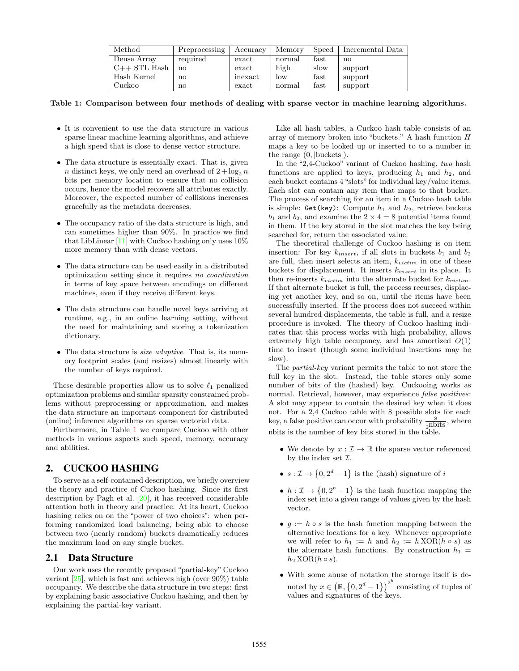| Method         | Preprocessing | Accuracy                      | Memory | Speed | Incremental Data |
|----------------|---------------|-------------------------------|--------|-------|------------------|
| Dense Array    | required      | exact                         | normal | fast  | $\mathbf{no}$    |
| $C++$ STL Hash | no            | $\boldsymbol{\mathrm{exact}}$ | high   | slow  | support          |
| Hash Kernel    | no            | inexact                       | 10W    | fast  | support          |
| Cuckoo         | no            | exact                         | normal | fast  | support          |

<span id="page-2-0"></span>Table 1: Comparison between four methods of dealing with sparse vector in machine learning algorithms.

- It is convenient to use the data structure in various sparse linear machine learning algorithms, and achieve a high speed that is close to dense vector structure.
- The data structure is essentially exact. That is, given n distinct keys, we only need an overhead of  $2 + \log_2 n$ bits per memory location to ensure that no collision occurs, hence the model recovers all attributes exactly. Moreover, the expected number of collisions increases gracefully as the metadata decreases.
- The occupancy ratio of the data structure is high, and can sometimes higher than 90%. In practice we find that LibLinear  $[11]$  with Cuckoo hashing only uses  $10\%$ more memory than with dense vectors.
- The data structure can be used easily in a distributed optimization setting since it requires no coordination in terms of key space between encodings on different machines, even if they receive different keys.
- The data structure can handle novel keys arriving at runtime, e.g., in an online learning setting, without the need for maintaining and storing a tokenization dictionary.
- The data structure is size adaptive. That is, its memory footprint scales (and resizes) almost linearly with the number of keys required.

These desirable properties allow us to solve  $\ell_1$  penalized optimization problems and similar sparsity constrained problems without preprocessing or approximation, and makes the data structure an important component for distributed (online) inference algorithms on sparse vectorial data.

Furthermore, in Table [1](#page-2-0) we compare Cuckoo with other methods in various aspects such speed, memory, accuracy and abilities.

# 2. CUCKOO HASHING

To serve as a self-contained description, we briefly overview the theory and practice of Cuckoo hashing. Since its first description by Pagh et al. [\[20\]](#page-9-1), it has received considerable attention both in theory and practice. At its heart, Cuckoo hashing relies on on the "power of two choices": when performing randomized load balancing, being able to choose between two (nearly random) buckets dramatically reduces the maximum load on any single bucket.

## 2.1 Data Structure

Our work uses the recently proposed "partial-key" Cuckoo variant [\[25\]](#page-9-2), which is fast and achieves high (over 90%) table occupancy. We describe the data structure in two steps: first by explaining basic associative Cuckoo hashing, and then by explaining the partial-key variant.

Like all hash tables, a Cuckoo hash table consists of an array of memory broken into "buckets." A hash function  ${\cal H}$ maps a key to be looked up or inserted to to a number in the range (0, |buckets|).

In the "2,4-Cuckoo" variant of Cuckoo hashing, two hash functions are applied to keys, producing  $h_1$  and  $h_2$ , and each bucket contains 4 "slots" for individual key/value items. Each slot can contain any item that maps to that bucket. The process of searching for an item in a Cuckoo hash table is simple:  $Get(key)$ : Compute  $h_1$  and  $h_2$ , retrieve buckets  $b_1$  and  $b_2$ , and examine the  $2 \times 4 = 8$  potential items found in them. If the key stored in the slot matches the key being searched for, return the associated value.

The theoretical challenge of Cuckoo hashing is on item insertion: For key  $k_{insert}$ , if all slots in buckets  $b_1$  and  $b_2$ are full, then insert selects an item,  $k_{victim}$  in one of these buckets for displacement. It inserts  $k_{insert}$  in its place. It then re-inserts  $k_{victim}$  into the alternate bucket for  $k_{victim}$ . If that alternate bucket is full, the process recurses, displacing yet another key, and so on, until the items have been successfully inserted. If the process does not succeed within several hundred displacements, the table is full, and a resize procedure is invoked. The theory of Cuckoo hashing indicates that this process works with high probability, allows extremely high table occupancy, and has amortized  $O(1)$ time to insert (though some individual insertions may be slow).

The partial-key variant permits the table to not store the full key in the slot. Instead, the table stores only some number of bits of the (hashed) key. Cuckooing works as normal. Retrieval, however, may experience false positives: A slot may appear to contain the desired key when it does not. For a 2,4 Cuckoo table with 8 possible slots for each key, a false positive can occur with probability  $\frac{8}{2 \text{nbits}}$ , where nbits is the number of key bits stored in the table.

- We denote by  $x: \mathcal{I} \to \mathbb{R}$  the sparse vector referenced by the index set  $\mathcal{I}.$
- $s: \mathcal{I} \to \{0, 2^d 1\}$  is the (hash) signature of i
- $h: \mathcal{I} \to \{0, 2^b 1\}$  is the hash function mapping the index set into a given range of values given by the hash vector.
- $q := h \circ s$  is the hash function mapping between the alternative locations for a key. Whenever appropriate we will refer to  $h_1 := h$  and  $h_2 := h \, \text{XOR}(h \circ s)$  as the alternate hash functions. By construction  $h_1$  =  $h_2$  XOR( $h \circ s$ ).
- With some abuse of notation the storage itself is denoted by  $x \in (\mathbb{R}, \{0, 2^d - 1\})^{2^b}$  consisting of tuples of values and signatures of the keys.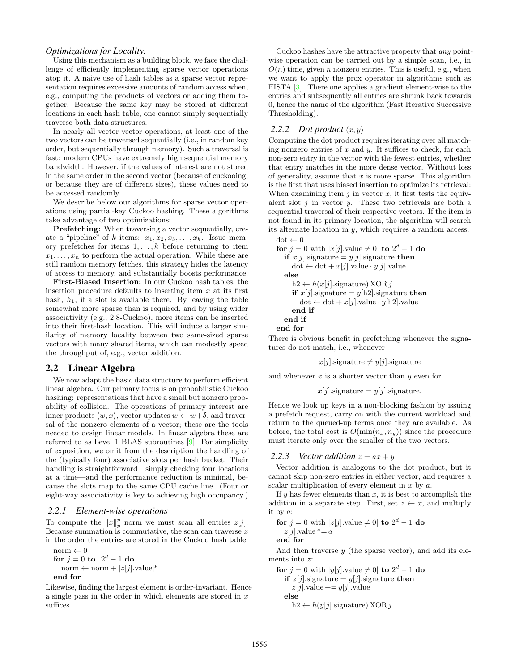#### *Optimizations for Locality.*

Using this mechanism as a building block, we face the challenge of efficiently implementing sparse vector operations atop it. A naive use of hash tables as a sparse vector representation requires excessive amounts of random access when, e.g., computing the products of vectors or adding them together: Because the same key may be stored at different locations in each hash table, one cannot simply sequentially traverse both data structures.

In nearly all vector-vector operations, at least one of the two vectors can be traversed sequentially (i.e., in random key order, but sequentially through memory). Such a traversal is fast: modern CPUs have extremely high sequential memory bandwidth. However, if the values of interest are not stored in the same order in the second vector (because of cuckooing, or because they are of different sizes), these values need to be accessed randomly.

We describe below our algorithms for sparse vector operations using partial-key Cuckoo hashing. These algorithms take advantage of two optimizations:

Prefetching: When traversing a vector sequentially, create a "pipeline" of k items:  $x_1, x_2, x_3, \ldots, x_k$ . Issue memory prefetches for items  $1, \ldots, k$  before returning to item  $x_1, \ldots, x_n$  to perform the actual operation. While these are still random memory fetches, this strategy hides the latency of access to memory, and substantially boosts performance.

First-Biased Insertion: In our Cuckoo hash tables, the insertion procedure defaults to inserting item  $x$  at its first hash,  $h_1$ , if a slot is available there. By leaving the table somewhat more sparse than is required, and by using wider associativity (e.g., 2,8-Cuckoo), more items can be inserted into their first-hash location. This will induce a larger similarity of memory locality between two same-sized sparse vectors with many shared items, which can modestly speed the throughput of, e.g., vector addition.

#### 2.2 Linear Algebra

We now adapt the basic data structure to perform efficient linear algebra. Our primary focus is on probabilistic Cuckoo hashing: representations that have a small but nonzero probability of collision. The operations of primary interest are inner products  $\langle w, x \rangle$ , vector updates  $w \leftarrow w + \delta$ , and traversal of the nonzero elements of a vector; these are the tools needed to design linear models. In linear algebra these are referred to as Level 1 BLAS subroutines [\[9\]](#page-9-15). For simplicity of exposition, we omit from the description the handling of the (typically four) associative slots per hash bucket. Their handling is straightforward—simply checking four locations at a time—and the performance reduction is minimal, because the slots map to the same CPU cache line. (Four or eight-way associativity is key to achieving high occupancy.)

#### *2.2.1 Element-wise operations*

To compute the  $||x||_p^p$  norm we must scan all entries  $z[j]$ . Because summation is commutative, the scan can traverse  $x$ in the order the entries are stored in the Cuckoo hash table:

 $norm \leftarrow 0$ for  $j=0$  to  $2^d-1$  do  $norm \leftarrow norm + |z[j].value|^p$ end for

Likewise, finding the largest element is order-invariant. Hence a single pass in the order in which elements are stored in x suffices.

Cuckoo hashes have the attractive property that any pointwise operation can be carried out by a simple scan, i.e., in  $O(n)$  time, given n nonzero entries. This is useful, e.g., when we want to apply the prox operator in algorithms such as FISTA [\[3\]](#page-9-16). There one applies a gradient element-wise to the entries and subsequently all entries are shrunk back towards 0, hence the name of the algorithm (Fast Iterative Successive Thresholding).

#### 2.2.2 Dot product  $\langle x, y \rangle$

Computing the dot product requires iterating over all matching nonzero entries of  $x$  and  $y$ . It suffices to check, for each non-zero entry in the vector with the fewest entries, whether that entry matches in the more dense vector. Without loss of generality, assume that  $x$  is more sparse. This algorithm is the first that uses biased insertion to optimize its retrieval: When examining item  $j$  in vector  $x$ , it first tests the equivalent slot  $j$  in vector  $y$ . These two retrievals are both a sequential traversal of their respective vectors. If the item is not found in its primary location, the algorithm will search its alternate location in y, which requires a random access:  $dot \leftarrow 0$ 

```
for j = 0 with |x[j].value \neq 0 to 2^d - 1 do
  if x[j].signature = y[j].signature then
     \mathrm{dot} \leftarrow \mathrm{dot} + x[j].\mathrm{value} \cdot y[j].\mathrm{value}else
      h2 \leftarrow h(x[j].signature) XOR j
      if x[j].signature = y[h2].signature then
        dot \leftarrow dot + x[j].value \cdot y[h2].valueend if
  end if
end for
```
There is obvious benefit in prefetching whenever the signatures do not match, i.e., whenever

$$
x[j].
$$
signature  $\neq y[j].$ signature

and whenever  $x$  is a shorter vector than  $y$  even for

 $x[j]$ .signature =  $y[j]$ .signature.

Hence we look up keys in a non-blocking fashion by issuing a prefetch request, carry on with the current workload and return to the queued-up terms once they are available. As before, the total cost is  $O(\min(n_x, n_y))$  since the procedure must iterate only over the smaller of the two vectors.

## 2.2.3 Vector addition  $z = ax + y$

Vector addition is analogous to the dot product, but it cannot skip non-zero entries in either vector, and requires a scalar multiplication of every element in  $x$  by  $a$ .

If y has fewer elements than  $x$ , it is best to accomplish the addition in a separate step. First, set  $z \leftarrow x$ , and multiply it by a:

for  $j = 0$  with  $|z[j]$ . value  $\neq 0|$  to  $2^d - 1$  do  $z[j]$ .value  $* = a$ end for

And then traverse  $y$  (the sparse vector), and add its elements into z:

**for**  $j = 0$  with  $|y[j]$ .value  $\neq 0|$  **to**  $2^d - 1$  **do** if  $z[j]$ .signature =  $y[j]$ .signature then  $z[j]$ .value  $+= y[j]$ .value else  $h2 \leftarrow h(y[j].$ signature) XOR j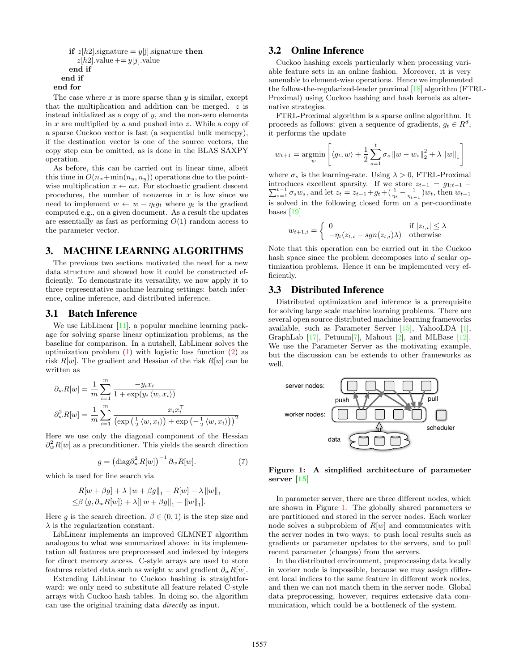```
if z[h2] signature = y[j] signature then
      z[h2].value +=y[j].value
    end if
  end if
end for
```
The case where  $x$  is more sparse than  $y$  is similar, except that the multiplication and addition can be merged. z is instead initialized as a copy of  $y$ , and the non-zero elements in  $x$  are multiplied by  $a$  and pushed into  $z$ . While a copy of a sparse Cuckoo vector is fast (a sequential bulk memcpy), if the destination vector is one of the source vectors, the copy step can be omitted, as is done in the BLAS SAXPY operation.

As before, this can be carried out in linear time, albeit this time in  $O(n_x + min(n_y, n_y))$  operations due to the pointwise multiplication  $x \leftarrow ax$ . For stochastic gradient descent procedures, the number of nonzeros in  $x$  is low since we need to implement  $w \leftarrow w - \eta_t g_t$  where  $g_t$  is the gradient computed e.g., on a given document. As a result the updates are essentially as fast as performing  $O(1)$  random access to the parameter vector.

# <span id="page-4-1"></span>3. MACHINE LEARNING ALGORITHMS

The previous two sections motivated the need for a new data structure and showed how it could be constructed efficiently. To demonstrate its versatility, we now apply it to three representative machine learning settings: batch inference, online inference, and distributed inference.

#### 3.1 Batch Inference

We use LibLinear [\[11\]](#page-9-8), a popular machine learning package for solving sparse linear optimization problems, as the baseline for comparison. In a nutshell, LibLinear solves the optimization problem  $(1)$  with logistic loss function  $(2)$  as risk  $R[w]$ . The gradient and Hessian of the risk  $R[w]$  can be written as

$$
\partial_w R[w] = \frac{1}{m} \sum_{i=1}^m \frac{-y_i x_i}{1 + \exp(y_i \langle w, x_i \rangle)}
$$

$$
\partial_w^2 R[w] = \frac{1}{m} \sum_{i=1}^m \frac{x_i x_i^\top}{\left(\exp\left(\frac{1}{2} \langle w, x_i \rangle\right) + \exp\left(-\frac{1}{2} \langle w, x_i \rangle\right)\right)^2}
$$

Here we use only the diagonal component of the Hessian  $\partial_w^2 R[w]$  as a preconditioner. This yields the search direction

$$
g = \left(\text{diag}\partial_w^2 R[w]\right)^{-1} \partial_w R[w]. \tag{7}
$$

which is used for line search via

$$
R[w + \beta g] + \lambda ||w + \beta g||_1 - R[w] - \lambda ||w||_1
$$
  

$$
\leq \beta \langle g, \partial_w R[w] \rangle + \lambda [||w + \beta g||_1 - ||w||_1].
$$

Here g is the search direction,  $\beta \in (0, 1)$  is the step size and  $\lambda$  is the regularization constant.

LibLinear implements an improved GLMNET algorithm analogous to what was summarized above: in its implementation all features are preprocessed and indexed by integers for direct memory access. C-style arrays are used to store features related data such as weight w and gradient  $\partial_wR[w]$ .

Extending LibLinear to Cuckoo hashing is straightforward: we only need to substitute all feature related C-style arrays with Cuckoo hash tables. In doing so, the algorithm can use the original training data directly as input.

### 3.2 Online Inference

Cuckoo hashing excels particularly when processing variable feature sets in an online fashion. Moreover, it is very amenable to element-wise operations. Hence we implemented the follow-the-regularized-leader proximal [\[18\]](#page-9-17) algorithm (FTRL-Proximal) using Cuckoo hashing and hash kernels as alternative strategies.

FTRL-Proximal algorithm is a sparse online algorithm. It proceeds as follows: given a sequence of gradients,  $g_t \in R^d$ , it performs the update

$$
w_{t+1} = \operatorname*{argmin}_{w} \left[ \langle g_t, w \rangle + \frac{1}{2} \sum_{s=1}^{t} \sigma_s \|w - w_s\|_2^2 + \lambda \|w\|_1 \right]
$$

where  $\sigma_s$  is the learning-rate. Using  $\lambda > 0$ , FTRL-Proximal introduces excellent sparsity. If we store  $z_{t-1} = g_{1:t-1}$ introduces excellent sparsity. If we store  $z_{t-1} = g_{1:t-1} - \sum_{s=1}^{t-1} \sigma_s w_s$ , and let  $z_t = z_{t-1} + g_t + (\frac{1}{\eta_t} - \frac{1}{\eta_{t-1}})w_t$ , then  $w_{t+1}$ is solved in the following closed form on a per-coordinate bases [\[19\]](#page-9-18)

$$
w_{t+1,i} = \begin{cases} 0 & \text{if } |z_{t,i}| \leq \lambda \\ -\eta_t(z_{t,i} - sgn(z_{t,i})\lambda) & \text{otherwise} \end{cases}
$$

Note that this operation can be carried out in the Cuckoo hash space since the problem decomposes into d scalar optimization problems. Hence it can be implemented very efficiently.

#### 3.3 Distributed Inference

Distributed optimization and inference is a prerequisite for solving large scale machine learning problems. There are several open source distributed machine learning frameworks available, such as Parameter Server [\[15\]](#page-9-19), YahooLDA [\[1\]](#page-9-20), GraphLab [\[17\]](#page-9-21), Petuum[\[7\]](#page-9-22), Mahout [\[2\]](#page-9-23), and MLBase [\[12\]](#page-9-24). We use the Parameter Server as the motivating example, but the discussion can be extends to other frameworks as well.



<span id="page-4-0"></span>Figure 1: A simplified architecture of parameter server [\[15\]](#page-9-19)

In parameter server, there are three different nodes, which are shown in Figure [1.](#page-4-0) The globally shared parameters w are partitioned and stored in the server nodes. Each worker node solves a subproblem of  $R[w]$  and communicates with the server nodes in two ways: to push local results such as gradients or parameter updates to the servers, and to pull recent parameter (changes) from the servers.

In the distributed environment, preprocessing data locally in worker node is impossible, because we may assign different local indices to the same feature in different work nodes, and then we can not match them in the server node. Global data preprocessing, however, requires extensive data communication, which could be a bottleneck of the system.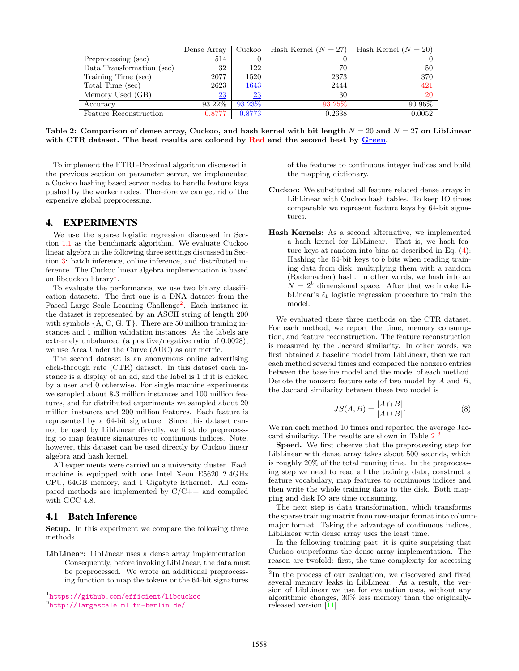|                                    | Dense Array     | Cuckoo          | Hash Kernel $(N = 27)$ | Hash Kernel $(N = 20)$ |
|------------------------------------|-----------------|-----------------|------------------------|------------------------|
| Preprocessing (sec)                | 514             |                 |                        |                        |
| Data Transformation (sec)          | 32              | 122             | 70                     | 50                     |
| Training Time (sec)                | 2077            | 1520            | 2373                   | 370                    |
| Total Time (sec)                   | 2623            | 1643            | 2444                   | 421                    |
| Memory Used $\overline{\text{GB}}$ | $\overline{23}$ | $\overline{23}$ | 30                     | <b>20</b>              |
| Accuracy                           | 93.22\%         | 93.23%          | 93.25%                 | 90.96%                 |
| <b>Feature Reconstruction</b>      | 0.8777          | 0.8773          | 0.2638                 | 0.0052                 |

<span id="page-5-2"></span>Table 2: Comparison of dense array, Cuckoo, and hash kernel with bit length  $N = 20$  and  $N = 27$  on LibLinear with CTR dataset. The best results are colored by Red and the second best by Green.

To implement the FTRL-Proximal algorithm discussed in the previous section on parameter server, we implemented a Cuckoo hashing based server nodes to handle feature keys pushed by the worker nodes. Therefore we can get rid of the expensive global preprocessing.

### 4. EXPERIMENTS

We use the sparse logistic regression discussed in Section [1.1](#page-0-2) as the benchmark algorithm. We evaluate Cuckoo linear algebra in the following three settings discussed in Section [3:](#page-4-1) batch inference, online inference, and distributed inference. The Cuckoo linear algebra implementation is based on libcuckoo library<sup>[1](#page-5-0)</sup>.

To evaluate the performance, we use two binary classification datasets. The first one is a DNA dataset from the Pascal Large Scale Learning Challenge<sup>[2](#page-5-1)</sup>. Each instance in the dataset is represented by an ASCII string of length 200 with symbols  $\{A, C, G, T\}$ . There are 50 million training instances and 1 million validation instances. As the labels are extremely unbalanced (a positive/negative ratio of 0.0028), we use Area Under the Curve (AUC) as our metric.

The second dataset is an anonymous online advertising click-through rate (CTR) dataset. In this dataset each instance is a display of an ad, and the label is 1 if it is clicked by a user and 0 otherwise. For single machine experiments we sampled about 8.3 million instances and 100 million features, and for distributed experiments we sampled about 20 million instances and 200 million features. Each feature is represented by a 64-bit signature. Since this dataset cannot be used by LibLinear directly, we first do preprocessing to map feature signatures to continuous indices. Note, however, this dataset can be used directly by Cuckoo linear algebra and hash kernel.

All experiments were carried on a university cluster. Each machine is equipped with one Intel Xeon E5620 2.4GHz CPU, 64GB memory, and 1 Gigabyte Ethernet. All compared methods are implemented by  $C/C++$  and compiled with GCC 4.8.

## 4.1 Batch Inference

Setup. In this experiment we compare the following three methods.

LibLinear: LibLinear uses a dense array implementation. Consequently, before invoking LibLinear, the data must be preprocessed. We wrote an additional preprocessing function to map the tokens or the 64-bit signatures

of the features to continuous integer indices and build the mapping dictionary.

- Cuckoo: We substituted all feature related dense arrays in LibLinear with Cuckoo hash tables. To keep IO times comparable we represent feature keys by 64-bit signatures.
- Hash Kernels: As a second alternative, we implemented a hash kernel for LibLinear. That is, we hash feature keys at random into bins as described in Eq. [\(4\)](#page-1-0): Hashing the 64-bit keys to b bits when reading training data from disk, multiplying them with a random (Rademacher) hash. In other words, we hash into an  $N = 2<sup>b</sup>$  dimensional space. After that we invoke LibLinear's  $\ell_1$  logistic regression procedure to train the model.

We evaluated these three methods on the CTR dataset. For each method, we report the time, memory consumption, and feature reconstruction. The feature reconstruction is measured by the Jaccard similarity. In other words, we first obtained a baseline model from LibLinear, then we ran each method several times and compared the nonzero entries between the baseline model and the model of each method. Denote the nonzero feature sets of two model by  $A$  and  $B$ , the Jaccard similarity between these two model is

$$
JS(A, B) = \frac{|A \cap B|}{|A \cup B|}.
$$
 (8)

We ran each method 10 times and reported the average Jaccard similarity. The results are shown in Table  $2<sup>3</sup>$  $2<sup>3</sup>$  $2<sup>3</sup>$  $2<sup>3</sup>$ .

Speed. We first observe that the preprocessing step for LibLinear with dense array takes about 500 seconds, which is roughly 20% of the total running time. In the preprocessing step we need to read all the training data, construct a feature vocabulary, map features to continuous indices and then write the whole training data to the disk. Both mapping and disk IO are time consuming.

The next step is data transformation, which transforms the sparse training matrix from row-major format into columnmajor format. Taking the advantage of continuous indices, LibLinear with dense array uses the least time.

In the following training part, it is quite surprising that Cuckoo outperforms the dense array implementation. The reason are twofold: first, the time complexity for accessing

<span id="page-5-0"></span><sup>1</sup> <https://github.com/efficient/libcuckoo>

<span id="page-5-1"></span><sup>2</sup> <http://largescale.ml.tu-berlin.de/>

<span id="page-5-3"></span><sup>&</sup>lt;sup>3</sup>In the process of our evaluation, we discovered and fixed several memory leaks in LibLinear. As a result, the version of LibLinear we use for evaluation uses, without any algorithmic changes, 30% less memory than the originallyreleased version [\[11\]](#page-9-8).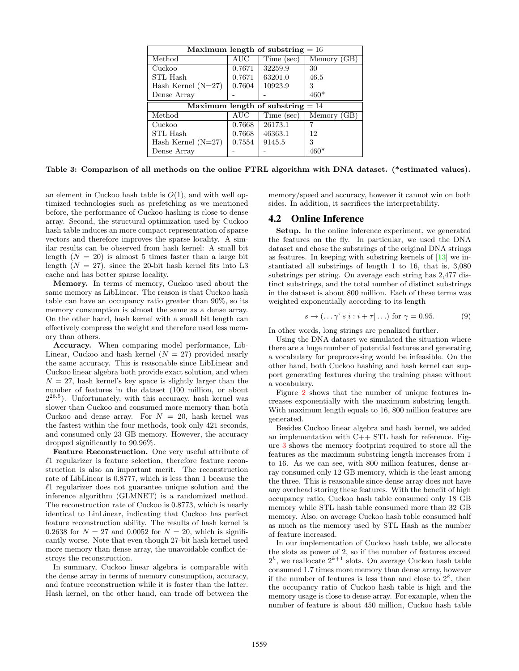| Maximum length of substring $= 16$ |        |            |             |  |  |
|------------------------------------|--------|------------|-------------|--|--|
| Method                             | AUC    | Time (sec) | Memory (GB) |  |  |
| Cuckoo                             | 0.7671 | 32259.9    | 30          |  |  |
| STL Hash                           | 0.7671 | 63201.0    | 46.5        |  |  |
| Hash Kernel $(N=27)$               | 0.7604 | 10923.9    | 3           |  |  |
| Dense Array                        |        |            | $460*$      |  |  |
| Maximum length of substring $= 14$ |        |            |             |  |  |
| Method                             | AUC    | Time (sec) | Memory (GB) |  |  |
| Cuckoo                             | 0.7668 | 26173.1    |             |  |  |
| STL Hash                           | 0.7668 | 46363.1    | 12          |  |  |
| Hash Kernel $(N=27)$               | 0.7554 | 9145.5     | 3           |  |  |
| Dense Array                        |        |            | $460*$      |  |  |

<span id="page-6-0"></span>Table 3: Comparison of all methods on the online FTRL algorithm with DNA dataset. (\*estimated values).

an element in Cuckoo hash table is  $O(1)$ , and with well optimized technologies such as prefetching as we mentioned before, the performance of Cuckoo hashing is close to dense array. Second, the structural optimization used by Cuckoo hash table induces an more compact representation of sparse vectors and therefore improves the sparse locality. A similar results can be observed from hash kernel: A small bit length  $(N = 20)$  is almost 5 times faster than a large bit length  $(N = 27)$ , since the 20-bit hash kernel fits into L3 cache and has better sparse locality.

Memory. In terms of memory, Cuckoo used about the same memory as LibLinear. The reason is that Cuckoo hash table can have an occupancy ratio greater than 90%, so its memory consumption is almost the same as a dense array. On the other hand, hash kernel with a small bit length can effectively compress the weight and therefore used less memory than others.

Accuracy. When comparing model performance, Lib-Linear, Cuckoo and hash kernel  $(N = 27)$  provided nearly the same accuracy. This is reasonable since LibLinear and Cuckoo linear algebra both provide exact solution, and when  $N = 27$ , hash kernel's key space is slightly larger than the number of features in the dataset (100 million, or about  $2^{26.5}$ ). Unfortunately, with this accuracy, hash kernel was slower than Cuckoo and consumed more memory than both Cuckoo and dense array. For  $N = 20$ , hash kernel was the fastest within the four methods, took only 421 seconds, and consumed only 23 GB memory. However, the accuracy dropped significantly to 90.96%.

Feature Reconstruction. One very useful attribute of  $\ell$ 1 regularizer is feature selection, therefore feature reconstruction is also an important merit. The reconstruction rate of LibLinear is 0.8777, which is less than 1 because the  $\ell$ 1 regularizer does not guarantee unique solution and the inference algorithm (GLMNET) is a randomized method. The reconstruction rate of Cuckoo is 0.8773, which is nearly identical to LinLinear, indicating that Cuckoo has perfect feature reconstruction ability. The results of hash kernel is 0.2638 for  $N = 27$  and 0.0052 for  $N = 20$ , which is significantly worse. Note that even though 27-bit hash kernel used more memory than dense array, the unavoidable conflict destroys the reconstruction.

In summary, Cuckoo linear algebra is comparable with the dense array in terms of memory consumption, accuracy, and feature reconstruction while it is faster than the latter. Hash kernel, on the other hand, can trade off between the memory/speed and accuracy, however it cannot win on both sides. In addition, it sacrifices the interpretability.

## 4.2 Online Inference

Setup. In the online inference experiment, we generated the features on the fly. In particular, we used the DNA dataset and chose the substrings of the original DNA strings as features. In keeping with substring kernels of [\[13\]](#page-9-10) we instantiated all substrings of length 1 to 16, that is, 3,080 substrings per string. On average each string has 2,477 distinct substrings, and the total number of distinct substrings in the dataset is about 800 million. Each of these terms was weighted exponentially according to its length

$$
s \to (\dots \gamma^{\tau} s[i : i + \tau] \dots) \text{ for } \gamma = 0.95. \tag{9}
$$

In other words, long strings are penalized further.

Using the DNA dataset we simulated the situation where there are a huge number of potential features and generating a vocabulary for preprocessing would be infeasible. On the other hand, both Cuckoo hashing and hash kernel can support generating features during the training phase without a vocabulary.

Figure [2](#page-7-0) shows that the number of unique features increases exponentially with the maximum substring length. With maximum length equals to 16, 800 million features are generated.

Besides Cuckoo linear algebra and hash kernel, we added an implementation with  $C++$  STL hash for reference. Figure [3](#page-7-1) shows the memory footprint required to store all the features as the maximum substring length increases from 1 to 16. As we can see, with 800 million features, dense array consumed only 12 GB memory, which is the least among the three. This is reasonable since dense array does not have any overhead storing these features. With the benefit of high occupancy ratio, Cuckoo hash table consumed only 18 GB memory while STL hash table consumed more than 32 GB memory. Also, on average Cuckoo hash table consumed half as much as the memory used by STL Hash as the number of feature increased.

In our implementation of Cuckoo hash table, we allocate the slots as power of 2, so if the number of features exceed  $2^k$ , we reallocate  $2^{k+1}$  slots. On average Cuckoo hash table consumed 1.7 times more memory than dense array, however if the number of features is less than and close to  $2^k$ , then the occupancy ratio of Cuckoo hash table is high and the memory usage is close to dense array. For example, when the number of feature is about 450 million, Cuckoo hash table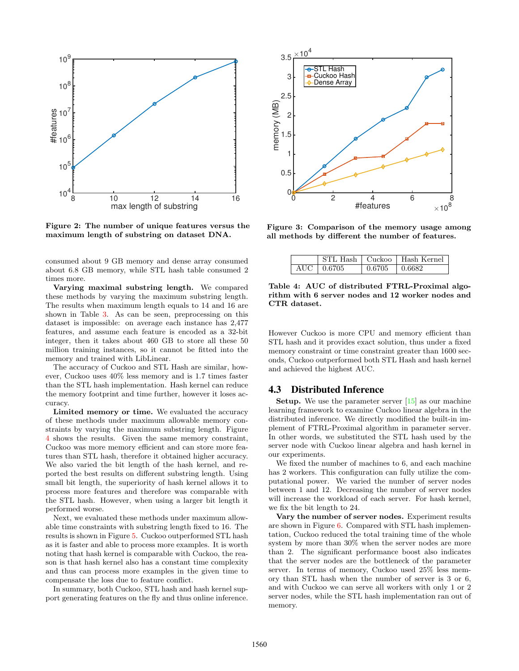

<span id="page-7-0"></span>Figure 2: The number of unique features versus the maximum length of substring on dataset DNA.

consumed about 9 GB memory and dense array consumed about 6.8 GB memory, while STL hash table consumed 2 times more.

Varying maximal substring length. We compared these methods by varying the maximum substring length. The results when maximum length equals to 14 and 16 are shown in Table [3.](#page-6-0) As can be seen, preprocessing on this dataset is impossible: on average each instance has 2,477 features, and assume each feature is encoded as a 32-bit integer, then it takes about 460 GB to store all these 50 million training instances, so it cannot be fitted into the memory and trained with LibLinear.

The accuracy of Cuckoo and STL Hash are similar, however, Cuckoo uses 40% less memory and is 1.7 times faster than the STL hash implementation. Hash kernel can reduce the memory footprint and time further, however it loses accuracy.

Limited memory or time. We evaluated the accuracy of these methods under maximum allowable memory constraints by varying the maximum substring length. Figure [4](#page-8-0) shows the results. Given the same memory constraint, Cuckoo was more memory efficient and can store more features than STL hash, therefore it obtained higher accuracy. We also varied the bit length of the hash kernel, and reported the best results on different substring length. Using small bit length, the superiority of hash kernel allows it to process more features and therefore was comparable with the STL hash. However, when using a larger bit length it performed worse.

Next, we evaluated these methods under maximum allowable time constraints with substring length fixed to 16. The results is shown in Figure [5.](#page-8-1) Cuckoo outperformed STL hash as it is faster and able to process more examples. It is worth noting that hash kernel is comparable with Cuckoo, the reason is that hash kernel also has a constant time complexity and thus can process more examples in the given time to compensate the loss due to feature conflict.

In summary, both Cuckoo, STL hash and hash kernel support generating features on the fly and thus online inference.



Figure 3: Comparison of the memory usage among all methods by different the number of features.

<span id="page-7-2"></span><span id="page-7-1"></span>

|              |                                                              | STL Hash   Cuckoo   Hash Kernel |
|--------------|--------------------------------------------------------------|---------------------------------|
| AUC   0.6705 | $\begin{array}{ c c c c c c c c } \hline 0.6682 \end{array}$ |                                 |

Table 4: AUC of distributed FTRL-Proximal algorithm with 6 server nodes and 12 worker nodes and CTR dataset.

However Cuckoo is more CPU and memory efficient than STL hash and it provides exact solution, thus under a fixed memory constraint or time constraint greater than 1600 seconds, Cuckoo outperformed both STL Hash and hash kernel and achieved the highest AUC.

#### 4.3 Distributed Inference

**Setup.** We use the parameter server  $\left[15\right]$  as our machine learning framework to examine Cuckoo linear algebra in the distributed inference. We directly modified the built-in implement of FTRL-Proximal algorithm in parameter server. In other words, we substituted the STL hash used by the server node with Cuckoo linear algebra and hash kernel in our experiments.

We fixed the number of machines to 6, and each machine has 2 workers. This configuration can fully utilize the computational power. We varied the number of server nodes between 1 and 12. Decreasing the number of server nodes will increase the workload of each server. For hash kernel, we fix the bit length to 24.

Vary the number of server nodes. Experiment results are shown in Figure [6.](#page-8-2) Compared with STL hash implementation, Cuckoo reduced the total training time of the whole system by more than 30% when the server nodes are more than 2. The significant performance boost also indicates that the server nodes are the bottleneck of the parameter server. In terms of memory, Cuckoo used 25% less memory than STL hash when the number of server is 3 or 6, and with Cuckoo we can serve all workers with only 1 or 2 server nodes, while the STL hash implementation ran out of memory.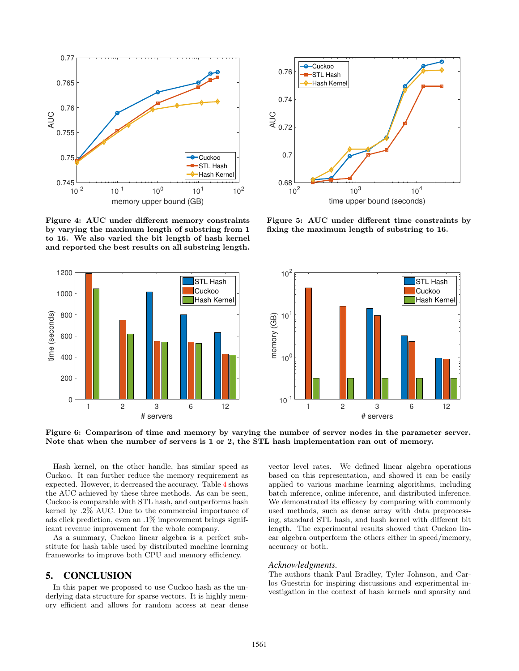

<span id="page-8-0"></span>Figure 4: AUC under different memory constraints by varying the maximum length of substring from 1 to 16. We also varied the bit length of hash kernel and reported the best results on all substring length.





<span id="page-8-1"></span>Figure 5: AUC under different time constraints by fixing the maximum length of substring to 16.



<span id="page-8-2"></span>Figure 6: Comparison of time and memory by varying the number of server nodes in the parameter server. Note that when the number of servers is 1 or 2, the STL hash implementation ran out of memory.

Hash kernel, on the other handle, has similar speed as Cuckoo. It can further reduce the memory requirement as expected. However, it decreased the accuracy. Table [4](#page-7-2) shows the AUC achieved by these three methods. As can be seen, Cuckoo is comparable with STL hash, and outperforms hash kernel by .2% AUC. Due to the commercial importance of ads click prediction, even an .1% improvement brings significant revenue improvement for the whole company.

As a summary, Cuckoo linear algebra is a perfect substitute for hash table used by distributed machine learning frameworks to improve both CPU and memory efficiency.

#### 5. CONCLUSION

In this paper we proposed to use Cuckoo hash as the underlying data structure for sparse vectors. It is highly memory efficient and allows for random access at near dense vector level rates. We defined linear algebra operations based on this representation, and showed it can be easily applied to various machine learning algorithms, including batch inference, online inference, and distributed inference. We demonstrated its efficacy by comparing with commonly used methods, such as dense array with data preprocessing, standard STL hash, and hash kernel with different bit length. The experimental results showed that Cuckoo linear algebra outperform the others either in speed/memory, accuracy or both.

#### *Acknowledgments.*

The authors thank Paul Bradley, Tyler Johnson, and Carlos Guestrin for inspiring discussions and experimental investigation in the context of hash kernels and sparsity and